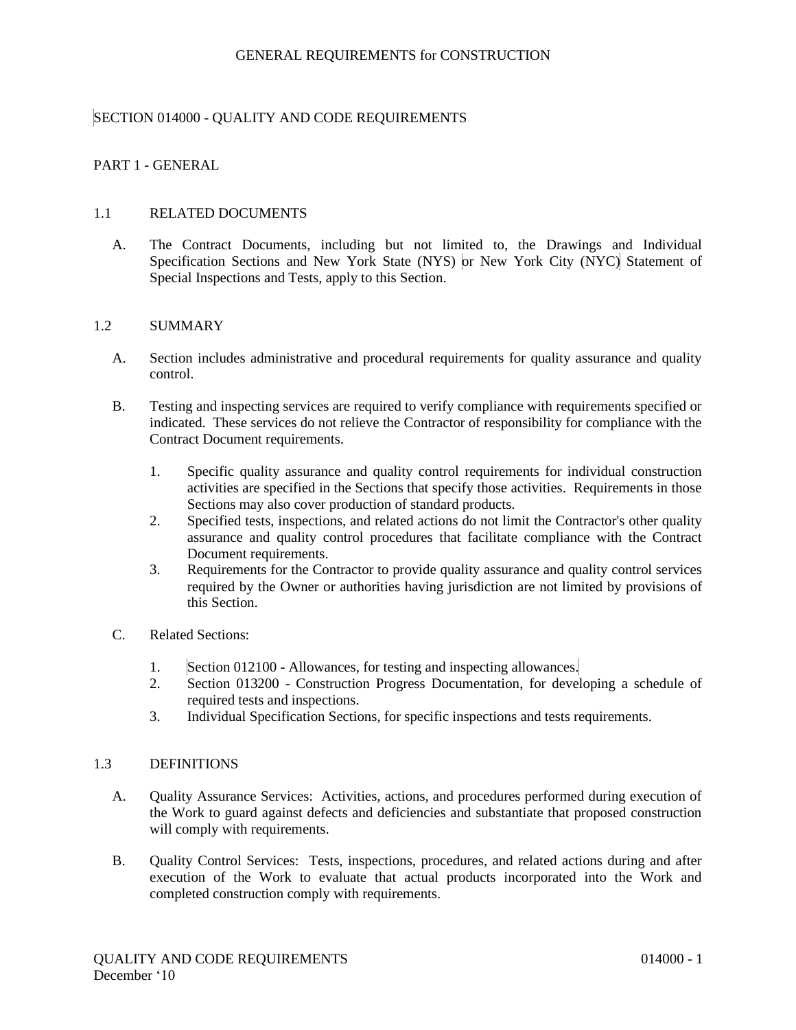# SECTION 014000 - QUALITY AND CODE REQUIREMENTS

# PART 1 - GENERAL

### 1.1 RELATED DOCUMENTS

A. The Contract Documents, including but not limited to, the Drawings and Individual Specification Sections and New York State (NYS) or New York City (NYC) Statement of Special Inspections and Tests, apply to this Section.

### 1.2 SUMMARY

- A. Section includes administrative and procedural requirements for quality assurance and quality control.
- B. Testing and inspecting services are required to verify compliance with requirements specified or indicated. These services do not relieve the Contractor of responsibility for compliance with the Contract Document requirements.
	- 1. Specific quality assurance and quality control requirements for individual construction activities are specified in the Sections that specify those activities. Requirements in those Sections may also cover production of standard products.
	- 2. Specified tests, inspections, and related actions do not limit the Contractor's other quality assurance and quality control procedures that facilitate compliance with the Contract Document requirements.
	- 3. Requirements for the Contractor to provide quality assurance and quality control services required by the Owner or authorities having jurisdiction are not limited by provisions of this Section.
- C. Related Sections:
	- 1. Section 012100 Allowances, for testing and inspecting allowances.
	- 2. Section 013200 Construction Progress Documentation, for developing a schedule of required tests and inspections.
	- 3. Individual Specification Sections, for specific inspections and tests requirements.

#### 1.3 DEFINITIONS

- A. Quality Assurance Services: Activities, actions, and procedures performed during execution of the Work to guard against defects and deficiencies and substantiate that proposed construction will comply with requirements.
- B. Quality Control Services: Tests, inspections, procedures, and related actions during and after execution of the Work to evaluate that actual products incorporated into the Work and completed construction comply with requirements.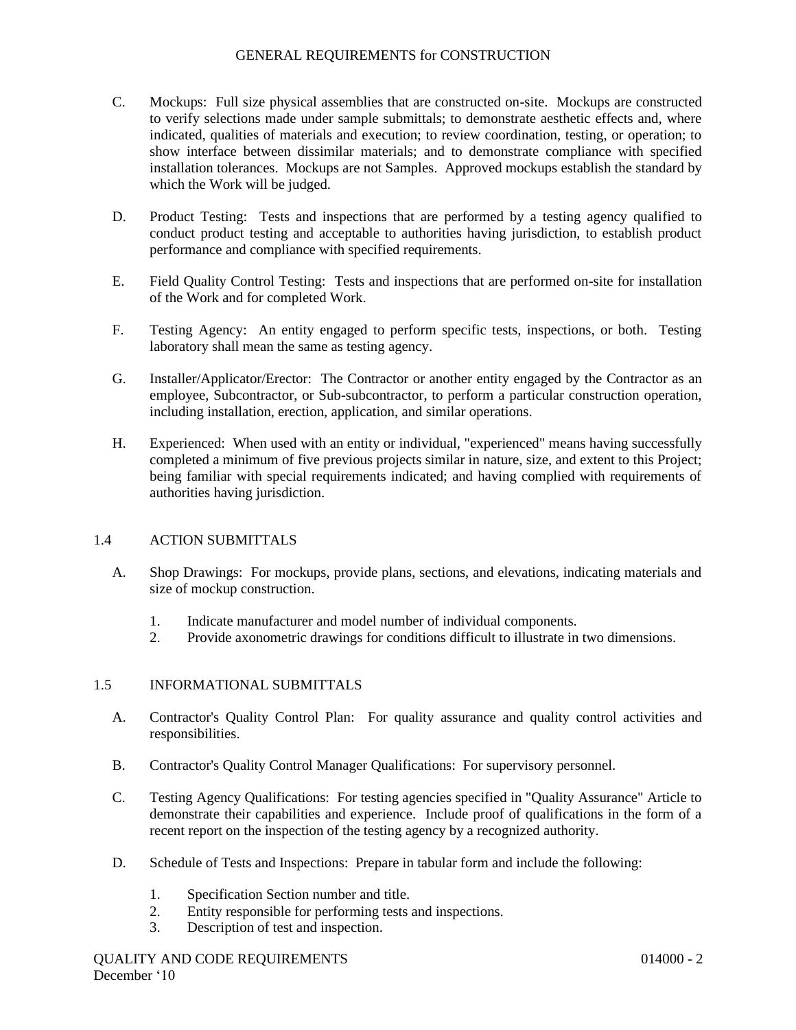- C. Mockups: Full size physical assemblies that are constructed on-site. Mockups are constructed to verify selections made under sample submittals; to demonstrate aesthetic effects and, where indicated, qualities of materials and execution; to review coordination, testing, or operation; to show interface between dissimilar materials; and to demonstrate compliance with specified installation tolerances. Mockups are not Samples. Approved mockups establish the standard by which the Work will be judged.
- D. Product Testing: Tests and inspections that are performed by a testing agency qualified to conduct product testing and acceptable to authorities having jurisdiction, to establish product performance and compliance with specified requirements.
- E. Field Quality Control Testing: Tests and inspections that are performed on-site for installation of the Work and for completed Work.
- F. Testing Agency: An entity engaged to perform specific tests, inspections, or both. Testing laboratory shall mean the same as testing agency.
- G. Installer/Applicator/Erector: The Contractor or another entity engaged by the Contractor as an employee, Subcontractor, or Sub-subcontractor, to perform a particular construction operation, including installation, erection, application, and similar operations.
- H. Experienced: When used with an entity or individual, "experienced" means having successfully completed a minimum of five previous projects similar in nature, size, and extent to this Project; being familiar with special requirements indicated; and having complied with requirements of authorities having jurisdiction.

# 1.4 ACTION SUBMITTALS

- A. Shop Drawings: For mockups, provide plans, sections, and elevations, indicating materials and size of mockup construction.
	- 1. Indicate manufacturer and model number of individual components.
	- 2. Provide axonometric drawings for conditions difficult to illustrate in two dimensions.

# 1.5 INFORMATIONAL SUBMITTALS

- A. Contractor's Quality Control Plan: For quality assurance and quality control activities and responsibilities.
- B. Contractor's Quality Control Manager Qualifications: For supervisory personnel.
- C. Testing Agency Qualifications: For testing agencies specified in "Quality Assurance" Article to demonstrate their capabilities and experience. Include proof of qualifications in the form of a recent report on the inspection of the testing agency by a recognized authority.
- D. Schedule of Tests and Inspections: Prepare in tabular form and include the following:
	- 1. Specification Section number and title.
	- 2. Entity responsible for performing tests and inspections.
	- 3. Description of test and inspection.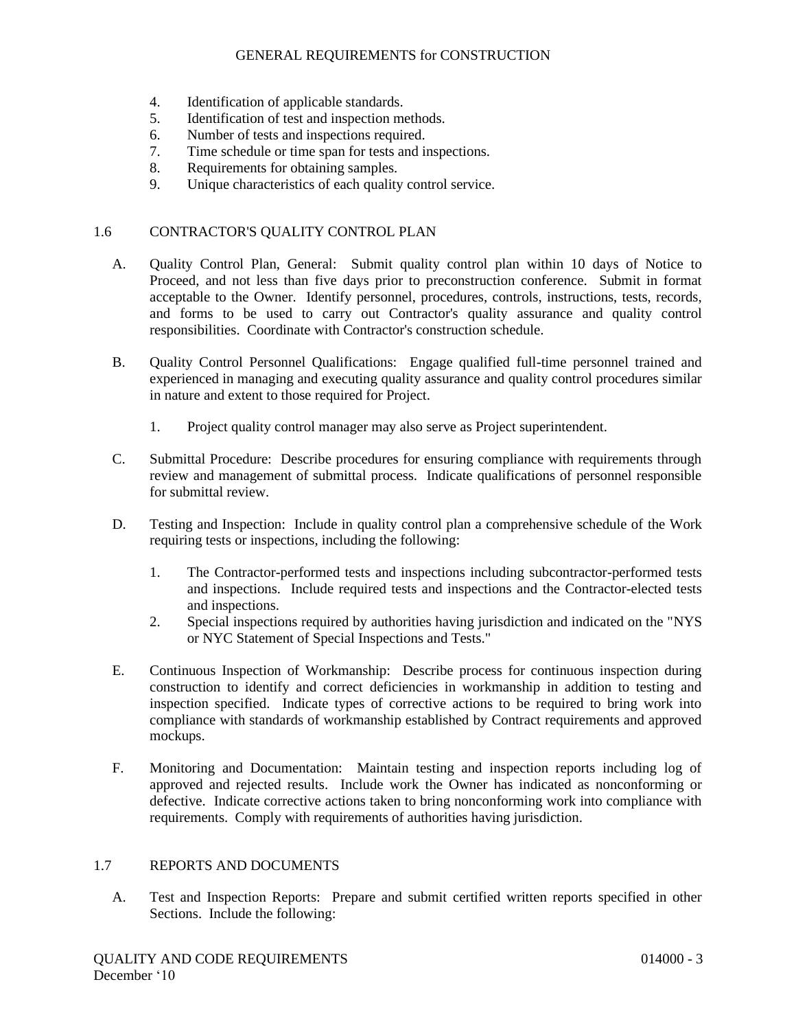- 4. Identification of applicable standards.
- 5. Identification of test and inspection methods.
- 6. Number of tests and inspections required.
- 7. Time schedule or time span for tests and inspections.
- 8. Requirements for obtaining samples.
- 9. Unique characteristics of each quality control service.

### 1.6 CONTRACTOR'S QUALITY CONTROL PLAN

- A. Quality Control Plan, General: Submit quality control plan within 10 days of Notice to Proceed, and not less than five days prior to preconstruction conference. Submit in format acceptable to the Owner. Identify personnel, procedures, controls, instructions, tests, records, and forms to be used to carry out Contractor's quality assurance and quality control responsibilities. Coordinate with Contractor's construction schedule.
- B. Quality Control Personnel Qualifications: Engage qualified full-time personnel trained and experienced in managing and executing quality assurance and quality control procedures similar in nature and extent to those required for Project.
	- 1. Project quality control manager may also serve as Project superintendent.
- C. Submittal Procedure: Describe procedures for ensuring compliance with requirements through review and management of submittal process. Indicate qualifications of personnel responsible for submittal review.
- D. Testing and Inspection: Include in quality control plan a comprehensive schedule of the Work requiring tests or inspections, including the following:
	- 1. The Contractor-performed tests and inspections including subcontractor-performed tests and inspections. Include required tests and inspections and the Contractor-elected tests and inspections.
	- 2. Special inspections required by authorities having jurisdiction and indicated on the "NYS or NYC Statement of Special Inspections and Tests."
- E. Continuous Inspection of Workmanship: Describe process for continuous inspection during construction to identify and correct deficiencies in workmanship in addition to testing and inspection specified. Indicate types of corrective actions to be required to bring work into compliance with standards of workmanship established by Contract requirements and approved mockups.
- F. Monitoring and Documentation: Maintain testing and inspection reports including log of approved and rejected results. Include work the Owner has indicated as nonconforming or defective. Indicate corrective actions taken to bring nonconforming work into compliance with requirements. Comply with requirements of authorities having jurisdiction.

## 1.7 REPORTS AND DOCUMENTS

A. Test and Inspection Reports: Prepare and submit certified written reports specified in other Sections. Include the following: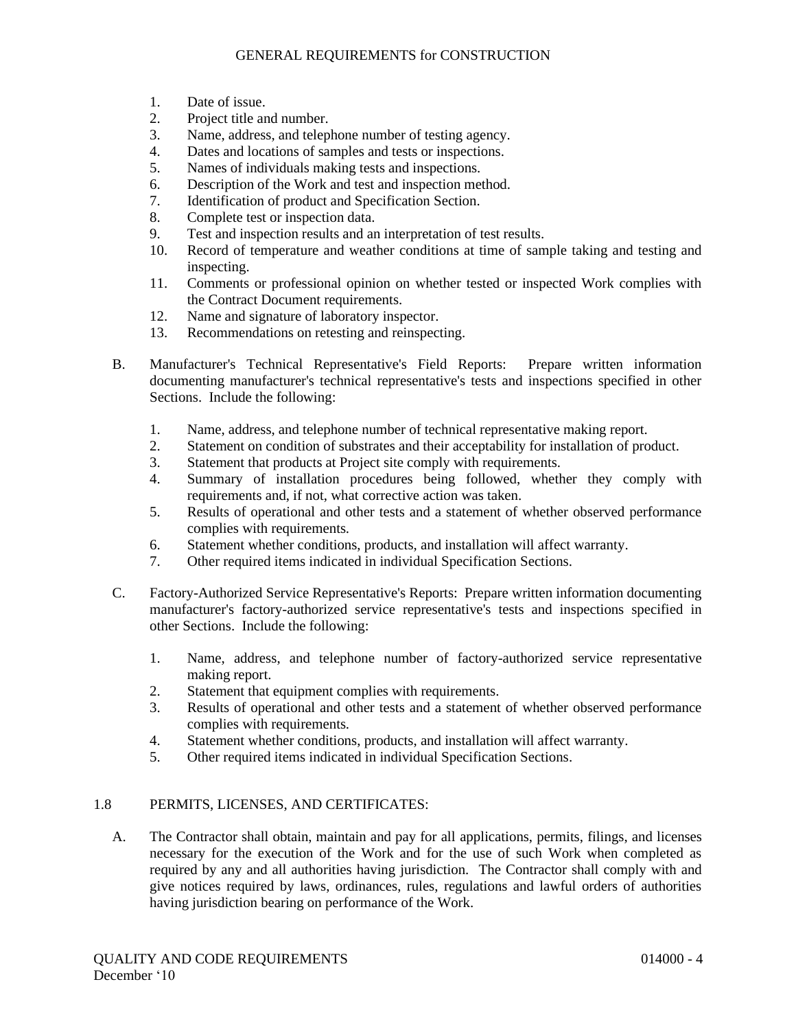- 1. Date of issue.
- 2. Project title and number.
- 3. Name, address, and telephone number of testing agency.
- 4. Dates and locations of samples and tests or inspections.
- 5. Names of individuals making tests and inspections.
- 6. Description of the Work and test and inspection method.
- 7. Identification of product and Specification Section.
- 8. Complete test or inspection data.
- 9. Test and inspection results and an interpretation of test results.
- 10. Record of temperature and weather conditions at time of sample taking and testing and inspecting.
- 11. Comments or professional opinion on whether tested or inspected Work complies with the Contract Document requirements.
- 12. Name and signature of laboratory inspector.
- 13. Recommendations on retesting and reinspecting.
- B. Manufacturer's Technical Representative's Field Reports: Prepare written information documenting manufacturer's technical representative's tests and inspections specified in other Sections. Include the following:
	- 1. Name, address, and telephone number of technical representative making report.
	- 2. Statement on condition of substrates and their acceptability for installation of product.
	- 3. Statement that products at Project site comply with requirements.
	- 4. Summary of installation procedures being followed, whether they comply with requirements and, if not, what corrective action was taken.
	- 5. Results of operational and other tests and a statement of whether observed performance complies with requirements.
	- 6. Statement whether conditions, products, and installation will affect warranty.
	- 7. Other required items indicated in individual Specification Sections.
- C. Factory-Authorized Service Representative's Reports: Prepare written information documenting manufacturer's factory-authorized service representative's tests and inspections specified in other Sections. Include the following:
	- 1. Name, address, and telephone number of factory-authorized service representative making report.
	- 2. Statement that equipment complies with requirements.
	- 3. Results of operational and other tests and a statement of whether observed performance complies with requirements.
	- 4. Statement whether conditions, products, and installation will affect warranty.
	- 5. Other required items indicated in individual Specification Sections.

# 1.8 PERMITS, LICENSES, AND CERTIFICATES:

A. The Contractor shall obtain, maintain and pay for all applications, permits, filings, and licenses necessary for the execution of the Work and for the use of such Work when completed as required by any and all authorities having jurisdiction. The Contractor shall comply with and give notices required by laws, ordinances, rules, regulations and lawful orders of authorities having jurisdiction bearing on performance of the Work.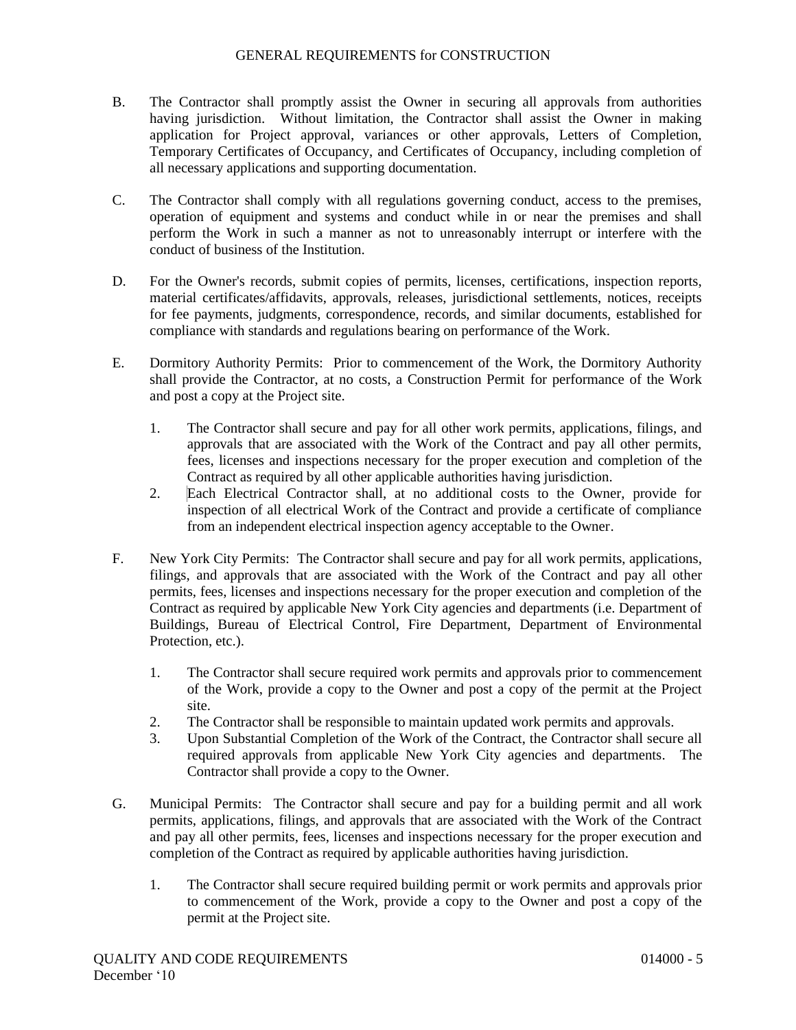- B. The Contractor shall promptly assist the Owner in securing all approvals from authorities having jurisdiction. Without limitation, the Contractor shall assist the Owner in making application for Project approval, variances or other approvals, Letters of Completion, Temporary Certificates of Occupancy, and Certificates of Occupancy, including completion of all necessary applications and supporting documentation.
- C. The Contractor shall comply with all regulations governing conduct, access to the premises, operation of equipment and systems and conduct while in or near the premises and shall perform the Work in such a manner as not to unreasonably interrupt or interfere with the conduct of business of the Institution.
- D. For the Owner's records, submit copies of permits, licenses, certifications, inspection reports, material certificates/affidavits, approvals, releases, jurisdictional settlements, notices, receipts for fee payments, judgments, correspondence, records, and similar documents, established for compliance with standards and regulations bearing on performance of the Work.
- E. Dormitory Authority Permits: Prior to commencement of the Work, the Dormitory Authority shall provide the Contractor, at no costs, a Construction Permit for performance of the Work and post a copy at the Project site.
	- 1. The Contractor shall secure and pay for all other work permits, applications, filings, and approvals that are associated with the Work of the Contract and pay all other permits, fees, licenses and inspections necessary for the proper execution and completion of the Contract as required by all other applicable authorities having jurisdiction.
	- 2. Each Electrical Contractor shall, at no additional costs to the Owner, provide for inspection of all electrical Work of the Contract and provide a certificate of compliance from an independent electrical inspection agency acceptable to the Owner.
- F. New York City Permits: The Contractor shall secure and pay for all work permits, applications, filings, and approvals that are associated with the Work of the Contract and pay all other permits, fees, licenses and inspections necessary for the proper execution and completion of the Contract as required by applicable New York City agencies and departments (i.e. Department of Buildings, Bureau of Electrical Control, Fire Department, Department of Environmental Protection, etc.).
	- 1. The Contractor shall secure required work permits and approvals prior to commencement of the Work, provide a copy to the Owner and post a copy of the permit at the Project site.
	- 2. The Contractor shall be responsible to maintain updated work permits and approvals.
	- 3. Upon Substantial Completion of the Work of the Contract, the Contractor shall secure all required approvals from applicable New York City agencies and departments. The Contractor shall provide a copy to the Owner.
- G. Municipal Permits: The Contractor shall secure and pay for a building permit and all work permits, applications, filings, and approvals that are associated with the Work of the Contract and pay all other permits, fees, licenses and inspections necessary for the proper execution and completion of the Contract as required by applicable authorities having jurisdiction.
	- 1. The Contractor shall secure required building permit or work permits and approvals prior to commencement of the Work, provide a copy to the Owner and post a copy of the permit at the Project site.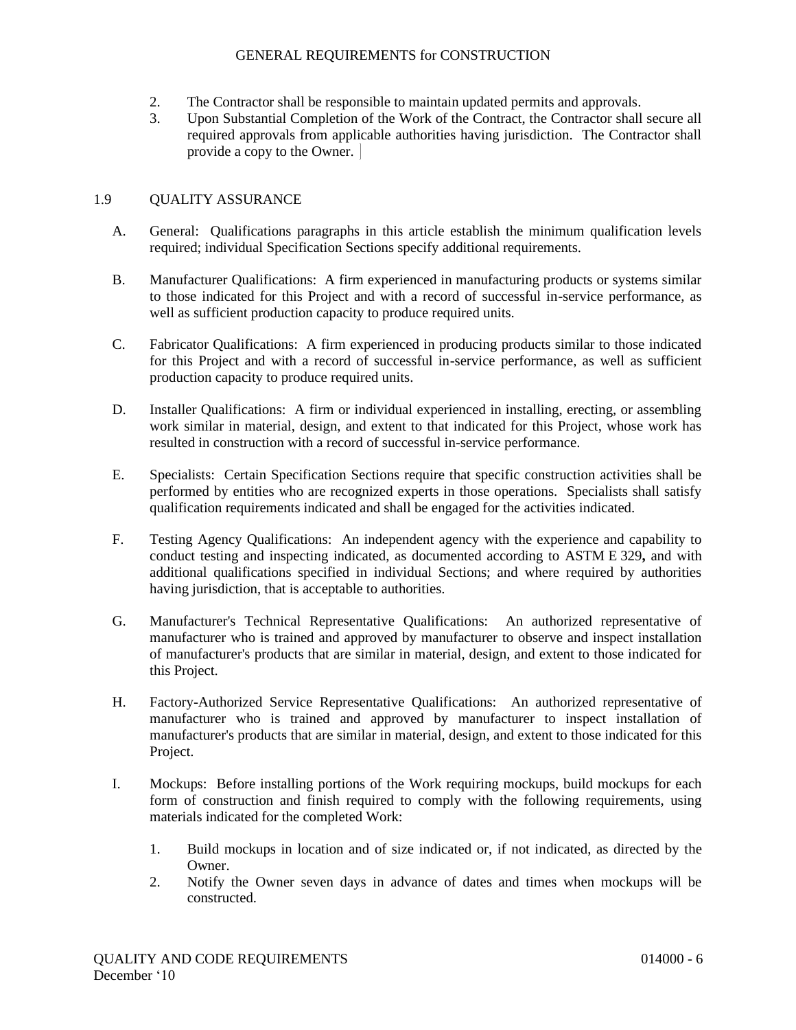- 2. The Contractor shall be responsible to maintain updated permits and approvals.
- 3. Upon Substantial Completion of the Work of the Contract, the Contractor shall secure all required approvals from applicable authorities having jurisdiction. The Contractor shall provide a copy to the Owner.

## 1.9 QUALITY ASSURANCE

- A. General: Qualifications paragraphs in this article establish the minimum qualification levels required; individual Specification Sections specify additional requirements.
- B. Manufacturer Qualifications: A firm experienced in manufacturing products or systems similar to those indicated for this Project and with a record of successful in-service performance, as well as sufficient production capacity to produce required units.
- C. Fabricator Qualifications: A firm experienced in producing products similar to those indicated for this Project and with a record of successful in-service performance, as well as sufficient production capacity to produce required units.
- D. Installer Qualifications: A firm or individual experienced in installing, erecting, or assembling work similar in material, design, and extent to that indicated for this Project, whose work has resulted in construction with a record of successful in-service performance.
- E. Specialists: Certain Specification Sections require that specific construction activities shall be performed by entities who are recognized experts in those operations. Specialists shall satisfy qualification requirements indicated and shall be engaged for the activities indicated.
- F. Testing Agency Qualifications: An independent agency with the experience and capability to conduct testing and inspecting indicated, as documented according to ASTM E 329**,** and with additional qualifications specified in individual Sections; and where required by authorities having jurisdiction, that is acceptable to authorities.
- G. Manufacturer's Technical Representative Qualifications: An authorized representative of manufacturer who is trained and approved by manufacturer to observe and inspect installation of manufacturer's products that are similar in material, design, and extent to those indicated for this Project.
- H. Factory-Authorized Service Representative Qualifications: An authorized representative of manufacturer who is trained and approved by manufacturer to inspect installation of manufacturer's products that are similar in material, design, and extent to those indicated for this Project.
- I. Mockups: Before installing portions of the Work requiring mockups, build mockups for each form of construction and finish required to comply with the following requirements, using materials indicated for the completed Work:
	- 1. Build mockups in location and of size indicated or, if not indicated, as directed by the Owner.
	- 2. Notify the Owner seven days in advance of dates and times when mockups will be constructed.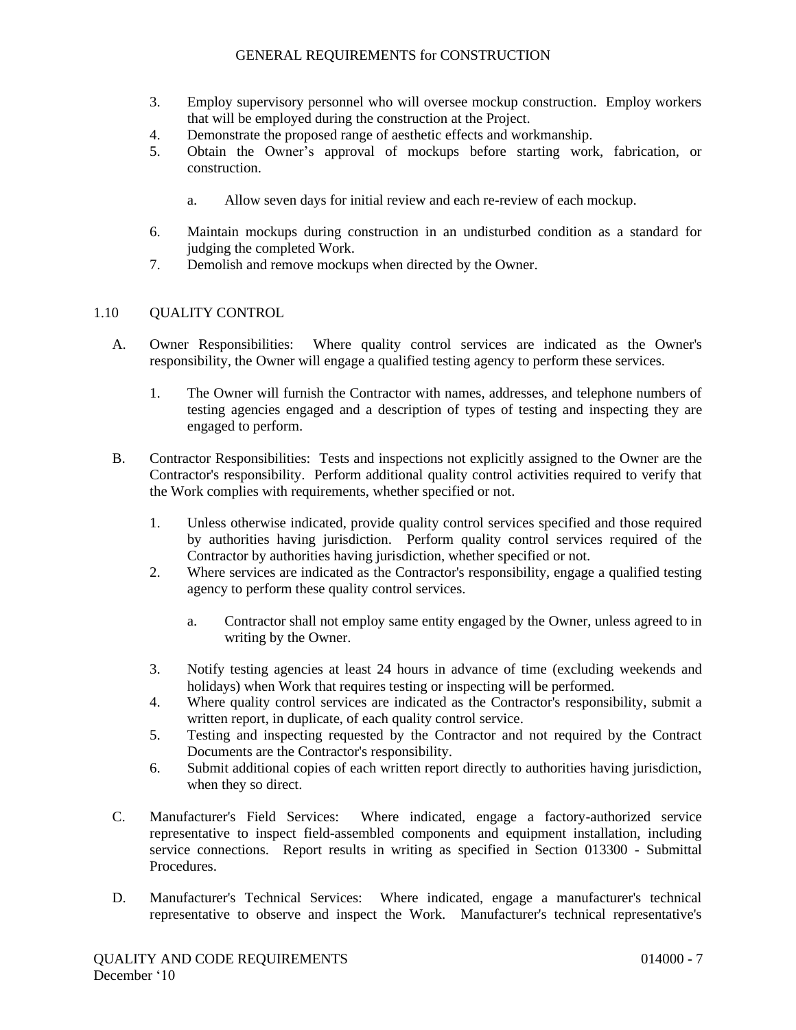- 3. Employ supervisory personnel who will oversee mockup construction. Employ workers that will be employed during the construction at the Project.
- 4. Demonstrate the proposed range of aesthetic effects and workmanship.
- 5. Obtain the Owner's approval of mockups before starting work, fabrication, or construction.
	- a. Allow seven days for initial review and each re-review of each mockup.
- 6. Maintain mockups during construction in an undisturbed condition as a standard for judging the completed Work.
- 7. Demolish and remove mockups when directed by the Owner.

# 1.10 QUALITY CONTROL

- A. Owner Responsibilities: Where quality control services are indicated as the Owner's responsibility, the Owner will engage a qualified testing agency to perform these services.
	- 1. The Owner will furnish the Contractor with names, addresses, and telephone numbers of testing agencies engaged and a description of types of testing and inspecting they are engaged to perform.
- B. Contractor Responsibilities: Tests and inspections not explicitly assigned to the Owner are the Contractor's responsibility. Perform additional quality control activities required to verify that the Work complies with requirements, whether specified or not.
	- 1. Unless otherwise indicated, provide quality control services specified and those required by authorities having jurisdiction. Perform quality control services required of the Contractor by authorities having jurisdiction, whether specified or not.
	- 2. Where services are indicated as the Contractor's responsibility, engage a qualified testing agency to perform these quality control services.
		- a. Contractor shall not employ same entity engaged by the Owner, unless agreed to in writing by the Owner.
	- 3. Notify testing agencies at least 24 hours in advance of time (excluding weekends and holidays) when Work that requires testing or inspecting will be performed.
	- 4. Where quality control services are indicated as the Contractor's responsibility, submit a written report, in duplicate, of each quality control service.
	- 5. Testing and inspecting requested by the Contractor and not required by the Contract Documents are the Contractor's responsibility.
	- 6. Submit additional copies of each written report directly to authorities having jurisdiction, when they so direct.
- C. Manufacturer's Field Services: Where indicated, engage a factory-authorized service representative to inspect field-assembled components and equipment installation, including service connections. Report results in writing as specified in Section 013300 - Submittal Procedures.
- D. Manufacturer's Technical Services: Where indicated, engage a manufacturer's technical representative to observe and inspect the Work. Manufacturer's technical representative's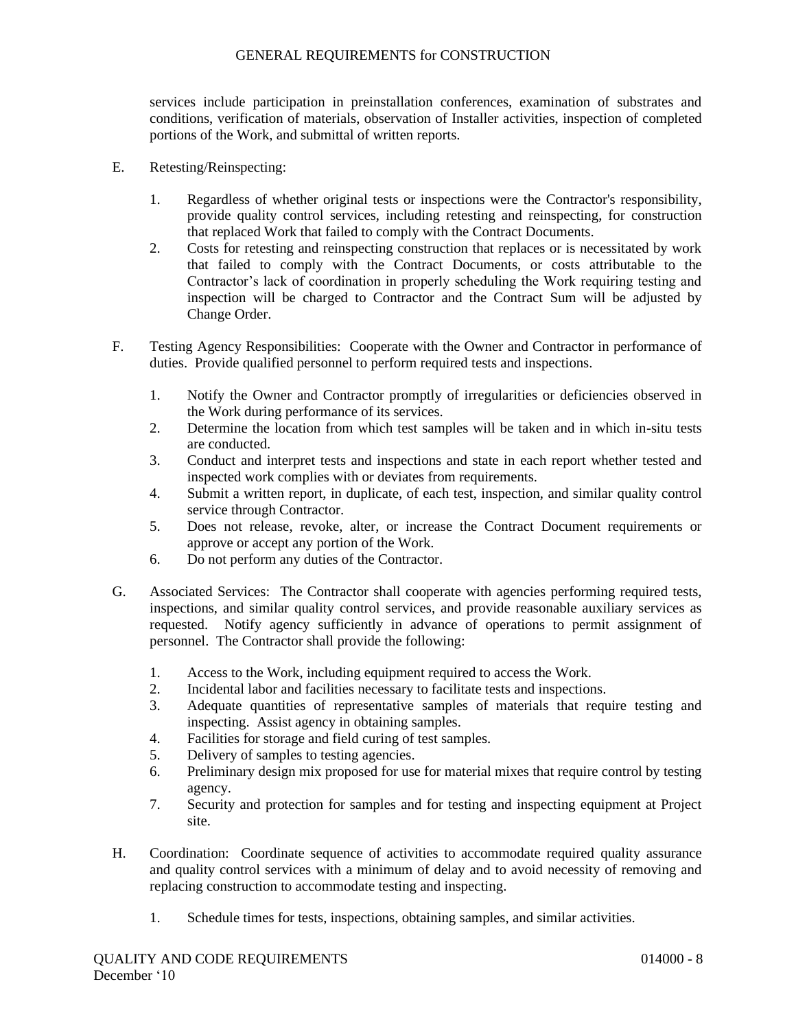services include participation in preinstallation conferences, examination of substrates and conditions, verification of materials, observation of Installer activities, inspection of completed portions of the Work, and submittal of written reports.

- E. Retesting/Reinspecting:
	- 1. Regardless of whether original tests or inspections were the Contractor's responsibility, provide quality control services, including retesting and reinspecting, for construction that replaced Work that failed to comply with the Contract Documents.
	- 2. Costs for retesting and reinspecting construction that replaces or is necessitated by work that failed to comply with the Contract Documents, or costs attributable to the Contractor's lack of coordination in properly scheduling the Work requiring testing and inspection will be charged to Contractor and the Contract Sum will be adjusted by Change Order.
- F. Testing Agency Responsibilities: Cooperate with the Owner and Contractor in performance of duties. Provide qualified personnel to perform required tests and inspections.
	- 1. Notify the Owner and Contractor promptly of irregularities or deficiencies observed in the Work during performance of its services.
	- 2. Determine the location from which test samples will be taken and in which in-situ tests are conducted.
	- 3. Conduct and interpret tests and inspections and state in each report whether tested and inspected work complies with or deviates from requirements.
	- 4. Submit a written report, in duplicate, of each test, inspection, and similar quality control service through Contractor.
	- 5. Does not release, revoke, alter, or increase the Contract Document requirements or approve or accept any portion of the Work.
	- 6. Do not perform any duties of the Contractor.
- G. Associated Services: The Contractor shall cooperate with agencies performing required tests, inspections, and similar quality control services, and provide reasonable auxiliary services as requested. Notify agency sufficiently in advance of operations to permit assignment of personnel. The Contractor shall provide the following:
	- 1. Access to the Work, including equipment required to access the Work.
	- 2. Incidental labor and facilities necessary to facilitate tests and inspections.
	- 3. Adequate quantities of representative samples of materials that require testing and inspecting. Assist agency in obtaining samples.
	- 4. Facilities for storage and field curing of test samples.
	- 5. Delivery of samples to testing agencies.
	- 6. Preliminary design mix proposed for use for material mixes that require control by testing agency.
	- 7. Security and protection for samples and for testing and inspecting equipment at Project site.
- H. Coordination: Coordinate sequence of activities to accommodate required quality assurance and quality control services with a minimum of delay and to avoid necessity of removing and replacing construction to accommodate testing and inspecting.
	- 1. Schedule times for tests, inspections, obtaining samples, and similar activities.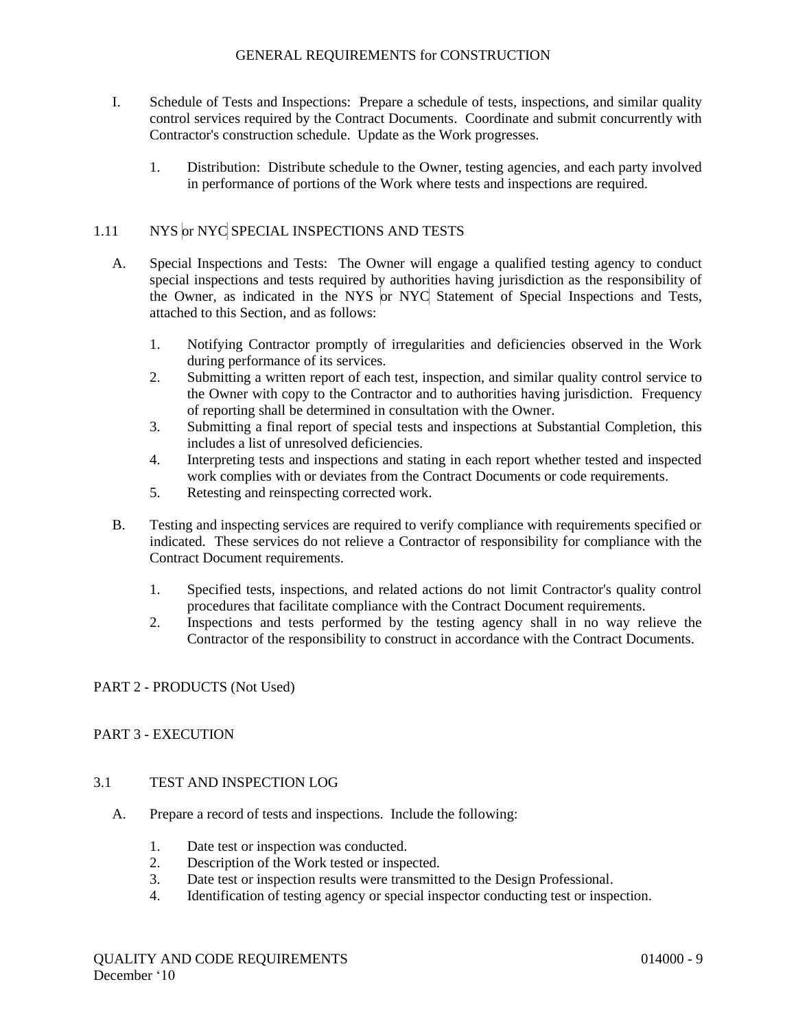- I. Schedule of Tests and Inspections: Prepare a schedule of tests, inspections, and similar quality control services required by the Contract Documents. Coordinate and submit concurrently with Contractor's construction schedule. Update as the Work progresses.
	- 1. Distribution: Distribute schedule to the Owner, testing agencies, and each party involved in performance of portions of the Work where tests and inspections are required.

# 1.11 NYS or NYC SPECIAL INSPECTIONS AND TESTS

- A. Special Inspections and Tests: The Owner will engage a qualified testing agency to conduct special inspections and tests required by authorities having jurisdiction as the responsibility of the Owner, as indicated in the NYS or NYC Statement of Special Inspections and Tests, attached to this Section, and as follows:
	- 1. Notifying Contractor promptly of irregularities and deficiencies observed in the Work during performance of its services.
	- 2. Submitting a written report of each test, inspection, and similar quality control service to the Owner with copy to the Contractor and to authorities having jurisdiction. Frequency of reporting shall be determined in consultation with the Owner.
	- 3. Submitting a final report of special tests and inspections at Substantial Completion, this includes a list of unresolved deficiencies.
	- 4. Interpreting tests and inspections and stating in each report whether tested and inspected work complies with or deviates from the Contract Documents or code requirements.
	- 5. Retesting and reinspecting corrected work.
- B. Testing and inspecting services are required to verify compliance with requirements specified or indicated. These services do not relieve a Contractor of responsibility for compliance with the Contract Document requirements.
	- 1. Specified tests, inspections, and related actions do not limit Contractor's quality control procedures that facilitate compliance with the Contract Document requirements.
	- 2. Inspections and tests performed by the testing agency shall in no way relieve the Contractor of the responsibility to construct in accordance with the Contract Documents.

# PART 2 - PRODUCTS (Not Used)

# PART 3 - EXECUTION

# 3.1 TEST AND INSPECTION LOG

- A. Prepare a record of tests and inspections. Include the following:
	- 1. Date test or inspection was conducted.
	- 2. Description of the Work tested or inspected.
	- 3. Date test or inspection results were transmitted to the Design Professional.
	- 4. Identification of testing agency or special inspector conducting test or inspection.